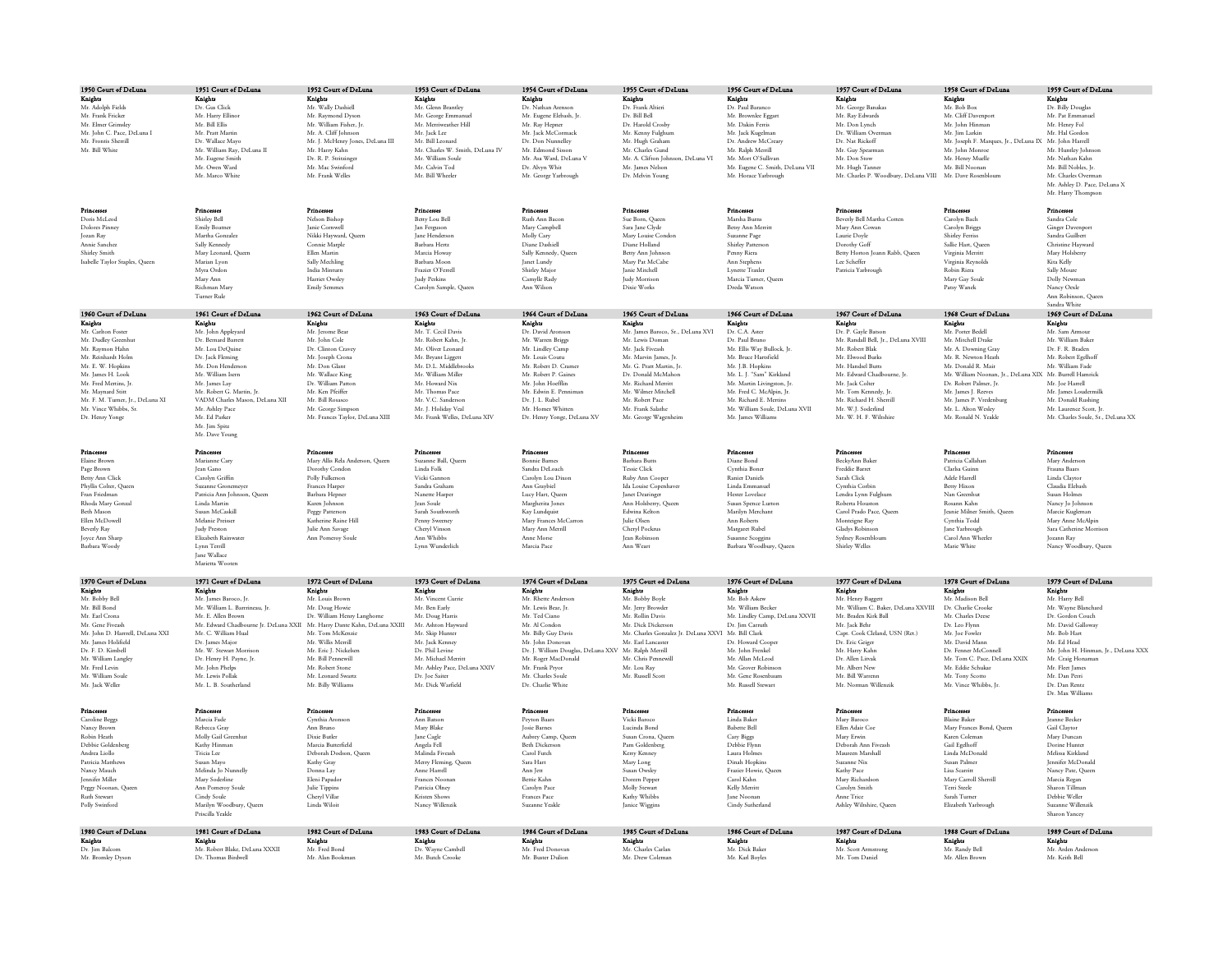| 1950 Court of DeLuna                                    | 1951 Court of DeLuna                                  | 1952 Court of DeLuna                       | 1953 Court of DeLuna                     | 1954 Court of DeLuna                                                        | 1955 Court of DeLuna                                                      | 1956 Court of DeLuna                                    | 1957 Court of DeLuna                                                         | 1958 Court of DeLuna                                     | 1959 Court of DeLuna                                     |
|---------------------------------------------------------|-------------------------------------------------------|--------------------------------------------|------------------------------------------|-----------------------------------------------------------------------------|---------------------------------------------------------------------------|---------------------------------------------------------|------------------------------------------------------------------------------|----------------------------------------------------------|----------------------------------------------------------|
| Kniehts                                                 | Kniehts                                               | Knights                                    | Knights                                  | Knights                                                                     | Knights                                                                   | Knights                                                 | Knights                                                                      | Knights                                                  | Knights                                                  |
| Mr. Adolph Fields                                       | Dr. Gus Click                                         | Mr. Wally Dashiell                         | Mr. Glenn Brantle                        | Dr. Nathan Arensor                                                          | Dr. Frank Altieri                                                         | Dr. Paul Barance                                        | Mr. George Banakas                                                           | Mr. Bob Box                                              | Dr. Billy Douglas                                        |
| Mr. Frank Fricker                                       | Mr. Harry Ellino                                      | Mr. Raymond Dyson                          | Mr. George Emmanue                       | Mr. Eugene Elebash, Jr.                                                     | Dr. Bill Bell                                                             | Mr. Brownlee Eggart                                     | Mr. Rav Edwards                                                              | Mr. Cliff Davenport                                      | Mr. Pat Emmanuel                                         |
| Mr. Elmer Grimsley                                      | Mr. Bill Ellis                                        | Mr. William Fisher, Jr.                    | Mr. Merriweather Hill                    | Mr. Ray Hepner                                                              | Dr. Harold Crosby                                                         | Mr. Dakin Ferris                                        | Mr. Don Lynch                                                                | Mr. John Hinman                                          | Mr. Henry Fol                                            |
| Mr. John C. Pace, DeLuna I                              | Mr. Pratt Martin                                      | Mr. A. Cliff Johnson                       | Mr. Jack Lee                             | Mr. Jack McCormack                                                          | Mr. Kenny Fulghum                                                         | Mr. Jack Kugelman                                       | Dr. William Overman                                                          | Mr. Iim Larkin                                           | Mr. Hal Gordon                                           |
| Mr. Frontis Sherrill                                    | Dr. Wallace Mayo                                      | Mr. J. McHenry Jones, DeLuna III           | Mr. Bill Leonard                         | Dr. Don Nunnelley                                                           | Mr. Hugh Graham                                                           | Dr. Andrew McCreary                                     | Dr. Nat Rickoff                                                              | Mr. Joseph F. Marques, Jr., DeLuna IX., Mr. John Harrell |                                                          |
| Mr. Bill White                                          | Mr. William Ray, DeLuna II                            | Mr. Harry Kahn                             | Mr. Charles W. Smith, DeLuna IV          | Mr. Edmond Sisson                                                           | Mr. Charles Gund                                                          | Mr. Ralph Merrill                                       | Mr. Guy Spearman                                                             | Mr. John Monroe                                          | Mr. Huntley Johnso                                       |
|                                                         | Mr. Eugene Smith                                      | Dr. R. P. Stritzinger<br>Mr. Mac Swinford  | Mr. William Soule<br>Mr. Calvin Tod      | Mr. Asa Ward, DeLuna V                                                      | Mr. A. Clifton Johnson, DeLuna VI                                         | Mr. Mort O'Sullivan                                     | Mr. Don Stow                                                                 | Mr. Henry Muelle<br>Mr. Bill Noonan                      | Mr. Nathan Kahn<br>Mr. Bill Nobles. In                   |
|                                                         | Mr. Owen Ward<br>Mr Marco White                       | Mr. Frank Welles                           | Mr. Bill Wheeler                         | Dr. Alvyn Whit<br>Mr. George Yarbrough                                      | Mr. James Nelson<br>Dr. Melvin Young                                      | Mr. Eugene C. Smith, DeLuna VII<br>Mr. Horace Yarbrough | Mr. Hugh Tanner<br>Mr. Charles P. Woodbury, DeLuna VIII Mr. Dave Rosenblours |                                                          | Mr. Charles Overman                                      |
|                                                         |                                                       |                                            |                                          |                                                                             |                                                                           |                                                         |                                                                              |                                                          | Mr. Ashley D. Pace, DeLuna X                             |
|                                                         |                                                       |                                            |                                          |                                                                             |                                                                           |                                                         |                                                                              |                                                          | Mr. Harry Thompson                                       |
|                                                         |                                                       |                                            |                                          |                                                                             |                                                                           |                                                         |                                                                              |                                                          |                                                          |
| Princesses                                              | Princesses                                            | <b>Princesses</b>                          | Princesses                               | Princesses                                                                  | Princesses                                                                | Princesses                                              | Princesses                                                                   | Princesses                                               | <b>Princesses</b>                                        |
| Doris McLeod                                            | Shirley Bell                                          | Nelson Bishor                              | Betty Lou Bell                           | Ruth Ann Baco                                                               | Sue Born, Ouee                                                            | Marsha Burn                                             | Beverly Bell Martha Cotten                                                   | Carolyn Bach                                             | Sandra Cole                                              |
| Dolores Pinne                                           | Emily Boatner                                         | Janie Cornwel                              | Jan Ferguson                             | Mary Campbell                                                               | Sara Jane Clyde                                                           | Betsy Ann Merrit                                        | Mary Ann Cowar                                                               | Carolyn Briggs                                           | Ginger Davenport                                         |
| <b>Jozan Ray</b>                                        | Martha Gonzalez                                       | Nikki Hayward, Queen                       | <b>Jane Henderson</b>                    | Molly Cary                                                                  | Mary Louise Condon                                                        | Suzanne Page                                            | Laurie Doyle                                                                 | <b>Shirley Ferriss</b>                                   | Sandra Guilbert                                          |
| Annie Sanchez                                           | Sally Kennedy                                         | Connie Marple                              | Barbara Herrz                            | Diane Dashiell                                                              | Diane Holland                                                             | Shirley Parrerson                                       | Dorothy Goff                                                                 | Sallie Harr. Oueer                                       | Christine Hayward                                        |
| Shirley Smith                                           | Mary Leonard, Oueer                                   | Ellen Martin                               | Marcia Howay                             | Sally Kennedy, Ouee                                                         | Betty Ann Johnson                                                         | Penny Riera                                             | Betty Horton Joann Rabb, Queen                                               | Virginia Merritt                                         | Mary Holsherry                                           |
| Isabelle Taylor Staples, Queer                          | Marian Lyon                                           | Sally Mechling                             | Barbara Moon                             | Janet Lundy                                                                 | Mary Par McCabe                                                           | Ann Stephens                                            | Lee Scheffer                                                                 | Virginia Reynolds                                        | Kira Kelly                                               |
|                                                         | Myra Ordon                                            | India Minturn<br>Harrier Owdev             | Frazier O'Ferrell<br><b>Indy Perkins</b> | Shirley Major<br>Camylle Rady                                               | <b>Ianie Mitchell</b><br><b>Indy Morrison</b>                             | Lynette Traxler<br>Marcia Turner, Oueen                 | Patricia Yarbrough                                                           | Robin Riera<br>Mary Gay Soule                            | Sally Moure<br>Dolly Newman                              |
|                                                         | Mary Ann                                              | Emily Semme                                |                                          | Ann Wilson                                                                  | Divie Works                                                               | Dreda Watson                                            |                                                                              | Patsy Wanek                                              |                                                          |
|                                                         | Richman Mary<br>Turner Rule                           |                                            | Carolyn Sample, Queen                    |                                                                             |                                                                           |                                                         |                                                                              |                                                          | Nancy Oexle<br>Ann Robinson, Queer                       |
|                                                         |                                                       |                                            |                                          |                                                                             |                                                                           |                                                         |                                                                              |                                                          | Sandra White                                             |
| 1960 Court of DeLuna                                    | 1961 Court of DeLuna                                  | 1962 Court of DeLuna                       | 1963 Court of DeLuna                     | 1964 Court of DeLuna                                                        | 1965 Court of DeLuna                                                      | 1966 Court of DeLuna                                    | 1967 Court of DeLuns                                                         | 1968 Court of DeLuna                                     | 1969 Court of DeLuna                                     |
| Knights                                                 | Knights                                               | Knights                                    | Knights                                  | Knights                                                                     | Knights                                                                   | Knights                                                 | Knights                                                                      | Knights                                                  | Knights                                                  |
| Mr. Carlton Foster                                      | Mr. John Appleyard                                    | Mr. Jerome Bear                            | Mr. T. Cecil Davis                       | Dr. David Aronson                                                           | Mr. James Baroco, Sr., DeLuna XVI                                         | Dr. C.A. Aster                                          | Dr. P. Gayle Batson                                                          | Mr. Porter Bedell                                        | Mr. Sam Armour                                           |
| Mr. Dudley Greenbu                                      | Dr. Bernard Barrett                                   | Mr. John Cole                              | Mr. Robert Kahn, In                      | Mr. Warren Briggs                                                           | Mr. Lewis Doman                                                           | Dr. Paul Bruno                                          | Mr Randall Bell, Ir., DeLuna XVIII                                           | Mr. Mitchell Derke                                       | Mr. William Baker                                        |
| Mr. Raymon Hahn                                         | Mr. Lou DeOuine                                       | Dr. Clinton Craves                         | Mr. Oliver Leonard                       | Mr. Lindley Camp                                                            | Mr. Jack Fiveash                                                          | Mr. Ellis Way Bullock, In                               | Mr. Robert Blak                                                              | Mr. A. Downing Gray                                      | Dr. F. R. Braden                                         |
| Mr. Reinhardt Holm                                      | Dr. Jack Fleming                                      | Mr. Joseph Crona                           | Mr. Bryant Liggett                       | Mr. Louis Coutu                                                             | Mr. Marvin James, Jr.                                                     | Mr. Bruce Hartsfield                                    | Mr. Elwood Burks                                                             | Mr. R. Newton Heath                                      | Mr. Robert Egelhoff                                      |
| Mr. E. W. Hopkins                                       | Mr. Don Henderson                                     | Mr. Don Glant                              | Mr. D.L. Middlebrook                     | Mr. Robert D. Cramer                                                        | Mr. G. Pratt Martin, Jr.                                                  | Mr. J.B. Hopkins                                        | Mr. Handsel Butts                                                            | Mr. Donald R. Mair                                       | Mr. William Fade                                         |
| Mr. James H. Jook<br>Mr. Fred Merrins. In               | Mr. William Jeern                                     | Mr Wallace King<br>Dr. William Parror      | Mr. William Miller<br>Mr. Howard Niv.    | Mr. Robert P. Caines<br>Mr John Hoefflin                                    | Dr. Donald McMahon<br>Mr. Richard Morrirr                                 | Mr. J. J. "Sam" Kirkland                                | Mr. Edward Chadbourne. In<br>Mr. Jack Colter                                 | Mr. William Noonan, Jr., DeLuna XIX Mr. Burrell Hamrick  | Mr. Joe Harrell                                          |
| Mr. Maynard Stitt                                       | Mr. James Lav<br>Mr. Robert G. Martin, Jr.            | Mr. Ken Pfeiffer                           | Mr. Thomas Pace                          | Mr. Edwin E. Pennimar                                                       | Mr. Wilmer Mitchell                                                       | Mr. Martin Livineston, Ir.<br>Mr. Fred C. McAlpin, Jr.  | Mr. Tom Kennedy, Ja                                                          | Dr. Robert Palmer, Ir.<br>Mr. James J. Reeves            | Mr. James Loudermilk                                     |
| Mr. F. M. Turner, Jr., DeLuna XI                        | VADM Charles Mason, DeLuna XII                        | Mr. Bill Rossco                            | Mr. V.C. Sanderson                       | Dr. J. L. Rubel                                                             | Mr. Robert Pace                                                           | Mr. Richard E. Mertins                                  | Mr. Richard H. Sherrill                                                      | Mr. James P. Vredenburg                                  | Mr. Donald Rushing                                       |
| Mr. Vince Whibbe, Sr.                                   | Mr. Achlee Pace                                       | Mr. George Simpson                         | Mr. J. Holiday Veal                      | Mr. Homer Whitten                                                           | Mr. Frank Salarhe                                                         | Mr. William Soule, DeLuna XVII                          | Mr W.I. Soderlind                                                            | Mr. J. Alron Weeley                                      | Mr. Laurence Scott, Jr                                   |
| Dr. Henry Yonge                                         | Mr. Ed Parker                                         | Mr. Frances Taylor, DeLuna XIII            | Mr. Frank Welles, DeLuna XIV             | Dr. Henry Yonge, DeLuna XV                                                  | Mr. George Wagenheim                                                      | Mr. James Williams                                      | Mr W H F Wiltship                                                            | Mr. Ronald N. Yeakle                                     | Mr. Charles Soule, Sr., DeLuna XX                        |
|                                                         | Mr. Jim Spitz                                         |                                            |                                          |                                                                             |                                                                           |                                                         |                                                                              |                                                          |                                                          |
|                                                         | Mr. Dave Young                                        |                                            |                                          |                                                                             |                                                                           |                                                         |                                                                              |                                                          |                                                          |
|                                                         |                                                       |                                            |                                          |                                                                             |                                                                           |                                                         |                                                                              |                                                          |                                                          |
| Princesse                                               | Princesses                                            | Princesses                                 | Princesse                                | Princesses                                                                  | Princesses                                                                | Princesses                                              | Princesses                                                                   | Princesses                                               | Princesses                                               |
| Elaine Brown                                            | Marianne Carv                                         | Mary Allis Rela Anderson, Queen            | Suzanne Ball, Oueer                      | <b>Bonnie Barnes</b>                                                        | Barbara Butt                                                              | Diane Bond                                              | BeckyAnn Bake                                                                | Patricia Callaha                                         | Mary Anderson                                            |
| Page Brown                                              | Iean Gano                                             | Dorothy Condon                             | Linda Folk                               | Sandra DeLoach                                                              | <b>Tessie Click</b>                                                       | Cynthia Boner                                           | Freddie Barret                                                               | Clarlsa Guinn                                            | Frauna Baars                                             |
| Berry Ann Click                                         | Carolyn Griffin                                       | Polly Fulkerson                            | Vicki Gannon                             | Carolyn Lou Dixo                                                            | <b>Ruby Ann Cooper</b>                                                    | <b>Ranier Daniels</b>                                   | Sarah Click                                                                  | Adele Harrell                                            | Linda Clavror                                            |
| Phyllis Colter, Ouee                                    | Suzanne Gronemeve<br>Patricia Ann Johnson, Queen      | Frances Harper                             | Sandra Grahan<br>Nanette Harper          | Ann Gravbiel<br>Lucy Hart, Queen                                            | Ida Louise Copenhave                                                      | Linda Emmanuel                                          | Cynthia Corbin<br>Lendra Lynn Fulghun                                        | <b>Betty Hixon</b>                                       | Claudia Elebash<br>Susan Holmes                          |
| Fran Friedman                                           |                                                       | Barbara Hepner                             | <b>Tean Soule</b>                        | Margherita Jones                                                            | Janet Dearinger<br>Ann Holsberry, Queen                                   | Hester Lovelace<br>Susan Spence Lurton                  | Roberta Houston                                                              | Nan Greenhu<br>Rosann Kahn                               | Nancy Jo Johnson                                         |
|                                                         |                                                       |                                            |                                          |                                                                             |                                                                           |                                                         |                                                                              |                                                          |                                                          |
| Rhoda Mary Gonza                                        | Linda Marrin                                          | Karen Johnson                              |                                          |                                                                             |                                                                           |                                                         |                                                                              |                                                          |                                                          |
| Beth Mason                                              | Susan McCaskill                                       | Peggy Patterson                            | Sarah Southworth                         | Kay Lundouist                                                               | Edwina Kelton                                                             | Marilyn Merchant                                        | Carol Prado Pace, Oueer                                                      | <b>Jeanie Milner Smith</b> , Oueen                       | Marcie Kugleman                                          |
| Ellen McDowell                                          | Melanie Preisser                                      | Katherine Raine Hill                       | Penny Sweeney                            | Mary Frances McCarro                                                        | <b>Iulie Olsen</b>                                                        | Ann Roberts                                             | Monteigne Ray                                                                | Cynthia Todd                                             | Mary Anne McAlpin                                        |
| Beverly Ray                                             | Judy Preston<br>Elizabeth Rainwate                    | Julie Ann Savage                           | Cheryl Vinson<br>Ann Whibbs              | Mary Ann Merrill<br>Anne Morse                                              | Cheryl Pockrus                                                            | Margaret Rubel                                          | Gladys Robinson                                                              | Jane Yarbrough<br>.<br>Carol Ann Wheeler                 | Sara Catherine Morrison                                  |
| Joyce Ann Sharp<br>Barbara Woody                        | Lynn Terrill                                          | Ann Pomeroy Soule                          | Lynn Wunderlich                          | Marcia Pace                                                                 | Jean Robinson<br>Ann Weart                                                | Susanne Scoggins<br>Barbara Woodbury, Oueer             | Sydney Rosenbloum<br>Shirley Welles                                          | Marie White                                              | Jozann Ray<br>Nancy Woodbury, Oueen                      |
|                                                         | <b>Jane Wallace</b>                                   |                                            |                                          |                                                                             |                                                                           |                                                         |                                                                              |                                                          |                                                          |
|                                                         | Marietta Woote                                        |                                            |                                          |                                                                             |                                                                           |                                                         |                                                                              |                                                          |                                                          |
|                                                         |                                                       |                                            |                                          |                                                                             |                                                                           |                                                         |                                                                              |                                                          |                                                          |
| 1970 Court of DeLuna                                    | 1971 Court of DeLuna                                  | 1972 Court of DeLuna                       | 1973 Court of DeLuna                     | 1974 Court of DeLuna                                                        | 1975 Court od DeLuna                                                      | 1976 Court of DeLuna                                    | 1977 Court of DeLuna                                                         | 1978 Court of DeLuna                                     | 1979 Court of DeLuna                                     |
| Knights                                                 | Knights                                               | Knights                                    | Knights                                  | Knights                                                                     | Knichts                                                                   | Knights                                                 | Knights                                                                      | Knights                                                  | Knights                                                  |
| Mr. Bobby Bel                                           | Mr. James Baroco, Jr.                                 | Mr. Louis Brown                            | Mr. Vincent Currie                       | Mr. Rherre Anderso                                                          | Mr. Bobby Boyle                                                           | Mr. Bob Askew                                           | Mr. Henry Baggett                                                            | Mr Madison Bell                                          | Mr. Harry Bell                                           |
| Mr. Bill Bond                                           | Mr. William L. Barrineau, Ir.                         | Mr. Doug Howie                             | Mr. Ben Farly                            | Mr. Lewis Bear. In                                                          | Mr. Jerry Browder                                                         | Mr. William Becker                                      | Mr. William C. Baker. DeLuna XXVIII                                          | Dr. Charlie Crooke                                       | Mr. Wayne Blanchard                                      |
| Mr. Farl Crona                                          | Mr. E. Allen Brown                                    | Dr. William Henry Langhorne                | Mr. Doug Harris                          | Mr. Ted Ciano                                                               | Mr. Rollin Davis                                                          | Mr. Lindley Camp, DeLuna XXVII                          | Mr. Braden Kirk Ball                                                         | Mr. Charles Deese                                        | Dr. Gordon Couch                                         |
| Mr. Gene Fiveash                                        | Mr. Edward Chadbourne Jr. DeLuna XXII                 | Mr. Harry Dante Kahn, DeLuna XXIII         | Mr. Ashton Hayward                       | Mr. Al Condon                                                               | Mr. Dick Dickerson                                                        | Dr. Iim Carruth                                         | Mr. Jack Behr                                                                | Dr. Leo Flynn                                            | Mr. David Galloway                                       |
| Mr. John D. Harrrell, DeLuna XXI<br>Mr. James Holifield | Mr. C. William Hual<br>Dr. James Major                | Mr. Tom McKenzie<br>Mr. Willie Morrill     | Mr. Skip Hunter<br>Mr. Jack Kenney       | Mr. Billy Guy Davis<br>Mr. John Donovan                                     | Mr. Charles Gonzalez Jr. DeLuna XXVI Mr. Bill Clark<br>Mr. Ford Lancaster | Dr. Howard Cooper                                       | Capt. Cook Cleland, USN (Ret.)<br>Dr. Eric Geiger                            | Mr. Joe Fowler<br>Mr. David Mann                         | Mr. Bob Hart<br>Mr. Ed Head                              |
| Dr. F. D. Kimbell                                       |                                                       | Mr. Eric J. Nickelsen                      | Dr. Phil Levine                          |                                                                             |                                                                           |                                                         |                                                                              | Dr. Fenner McConnell                                     |                                                          |
| Mr. William Langley                                     | Mr. W. Stewart Morrison<br>Dr. Henry H. Payne, Jr.    | Mr. Bill Pennewill                         | Mr. Michael Merritt                      | Dr. J. William Douglas, DeLuna XXV Mr. Ralph Merrill<br>Mr. Roger MacDonald | Mr. Chris Pennewil                                                        | Mr. John Frenkel<br>Mr. Allan McLeod                    | Mr. Harry Kahn<br>Dr. Allen Litvak                                           | Mr. Tom C. Pace, DeLuna XXIX                             | Mr. John H. Hinman, Jr., DeLuna XXX<br>Mr. Craig Honaman |
| Mr. Fred Levin                                          | Mr. John Phelps                                       | Mr. Robert Stone                           | Mr. Ashley Pace, DeLuna XXIV             | Mr. Frank Pryor                                                             | Mr. Lou Ray                                                               | Mr. Grover Robinson                                     | Mr. Albert New                                                               | Mr. Eddie Schukar                                        | Mr. Fleet James                                          |
| Mr. William Soule                                       | Mr. Lewis Pollab                                      | Mr. Leonard Swarrs                         | Dr. Joe Saiter                           | Mr. Charles Soule                                                           | Mr. Russell Score                                                         | Mr. Gene Rosenbaum                                      | Mr. Bill Warrenn                                                             | Mr. Tony Scotto                                          | Mr. Dan Perri                                            |
| Mr. Jack Weller                                         | Mr. J. B. Southerland                                 | Mr Billy Williams                          | Mr. Dick Warfield                        | Dr. Charlie White                                                           |                                                                           | Mr. Russell Stewart                                     | Mr Norman Willenzik                                                          | Mr Vince Whibbs. In                                      | Dr. Dan Rentz                                            |
|                                                         |                                                       |                                            |                                          |                                                                             |                                                                           |                                                         |                                                                              |                                                          | Dr. Max William                                          |
|                                                         |                                                       |                                            |                                          |                                                                             |                                                                           |                                                         |                                                                              |                                                          |                                                          |
| Princesses                                              | Princesses                                            | <b>Princesses</b>                          | Princesses                               | Princesses                                                                  | <b>Princess</b>                                                           | Princesse                                               | Princesses                                                                   | Princesses                                               | Princesse                                                |
| Caroline Beggs                                          | Marcia Fade                                           | Cynthia Aronsor                            | Ann Barson                               | Peyton Baars                                                                | Vicki Baroco                                                              | Linda Baker                                             | Mary Baroco                                                                  | <b>Blaine Baker</b>                                      | <b>Jeanne Becker</b>                                     |
| Nancy Brown                                             | Rebecca Gray                                          | Ann Bruno                                  | Mary Blake                               | <b>Josie Barnes</b>                                                         | Lucinda Bond                                                              | <b>Babette Bell</b>                                     | Ellen Adair Coe                                                              | Mary Frances Bond, Queer                                 | Gail Claytor                                             |
| Robin Heath<br>Debbie Coldenberg                        | Molly Gail Greenhu<br>Kathy Hinman                    | Dixie Butler                               | <b>Jane Cagle</b>                        | Aubrey Camp, Queen<br><b>Berk Dickerson</b>                                 | Susan Crona, Queen                                                        | Cary Biggs<br>Debbie Elenn                              | Mary Erwin<br>Deborah Ann Fivereb                                            | Karen Coleman                                            | Mary Duncan<br>Dorine Hunter                             |
| Andrea Liollo                                           | Tricia Lee                                            | Marcia Butterfield<br>Deborah Dodson, Ouee | Angela Fell<br>Malinda Fiveash           | Carol Futch                                                                 | Pam Goldenberg<br>Kerry Kenney                                            | Laura Holmes                                            | Maureen Marshall                                                             | Gail Egelhoff<br>Linda McDonald                          | Melices Kirkhard                                         |
| Patricia Matthew                                        | Susan Mavo                                            | Kathy Gray                                 | Merry Fleming, Queen                     | Sara Hart                                                                   | Mary Long                                                                 | Dinah Hopkins                                           | Suzanne Nix                                                                  | Susan Palmer                                             | Jennifer McDonald                                        |
| Nancy Mauch                                             | Melinda Jo Nunnelly                                   | Donna Lav                                  | Anne Harrell                             | Ann Iett                                                                    | Susan Owsley                                                              | Frazier Howie, Queen                                    | Kathy Pace                                                                   | Lisa Scarritt                                            | Nancy Pate, Queen                                        |
| <b>Lennifer Miller</b>                                  | Mary Soderline                                        | Eleni Panado                               | Frances Noonar                           | Berrie Kahn                                                                 | Doreen Pepper                                                             | Carol Kahn                                              | Mary Richardson                                                              | Mary Carroll Sherrill                                    | Marcia Regan                                             |
| Peggy Noonan, Queer                                     | Ann Pomerov Soule                                     | Julie Tippins                              | Patricia Olney                           | Carolyn Pace                                                                | Molly Stewart                                                             | Kelly Merritt                                           | Carolyn Smith                                                                | Terri Steele                                             | Sharon Tillmar                                           |
| Ruth Stewart                                            | Cindy Soule                                           | Cheryl Villar                              | Kristen Shows                            | Frances Pace                                                                | Kathy Whibbs                                                              | <b>Jane Noonan</b>                                      | Anne Trice                                                                   | Sarah Turner                                             | Debbie Weller                                            |
| Polly Swinford                                          | Marilyn Woodbury, Queen                               | Linda Wiloit                               | Nancy Willenzik                          | Suzanne Yeakle                                                              | <b>Janice Wiggins</b>                                                     | Cindy Sutherland                                        | Ashley Wiltshire, Queen                                                      | Elizabeth Yarbrough                                      | Suzanne Willenzik                                        |
|                                                         | Priscilla Yeakle                                      |                                            |                                          |                                                                             |                                                                           |                                                         |                                                                              |                                                          | Sharon Yancey                                            |
|                                                         |                                                       |                                            |                                          |                                                                             |                                                                           |                                                         |                                                                              |                                                          |                                                          |
| 1980 Court of DeLuna                                    | 1981 Court of DeLuna                                  | 1982 Court of DeLuna                       | 1983 Court of DeLuna                     | 1984 Court of DeLuna                                                        | 1985 Court of DeLuna                                                      | 1986 Court of DeLuna                                    | 1987 Court of DeLuna                                                         | 1988 Court of DeLuna                                     | 1989 Court of DeLuna                                     |
| Knights                                                 | Knights                                               | Kniehu                                     | Knights                                  | Knights                                                                     | Knights                                                                   | Knights                                                 | Knights                                                                      | Knichts                                                  | Knights                                                  |
| Dr. Jim Balcom<br>Mr. Bromley Dyson                     | Mr. Robert Blake, DeLuna XXXII<br>Dr. Thomas Birdwell | Mr. Fred Bond<br>Mr. Alan Bookman          | Dr. Wayne Cambell<br>Mr. Butch Crooke    | Mr. Fred Donov<br>Mr. Buster Dulion                                         | Mr. Charles Carlar<br>Mr. Drew Coleman                                    | Mr. Dick Bake<br>Mr. Karl Boyles                        | Mr. Scott Arm<br>Mr Tom Daniel                                               | Mr. Randy Bell<br>Mr. Allen Brown                        | Mr. Arden Ander<br>Mr. Keith Bell                        |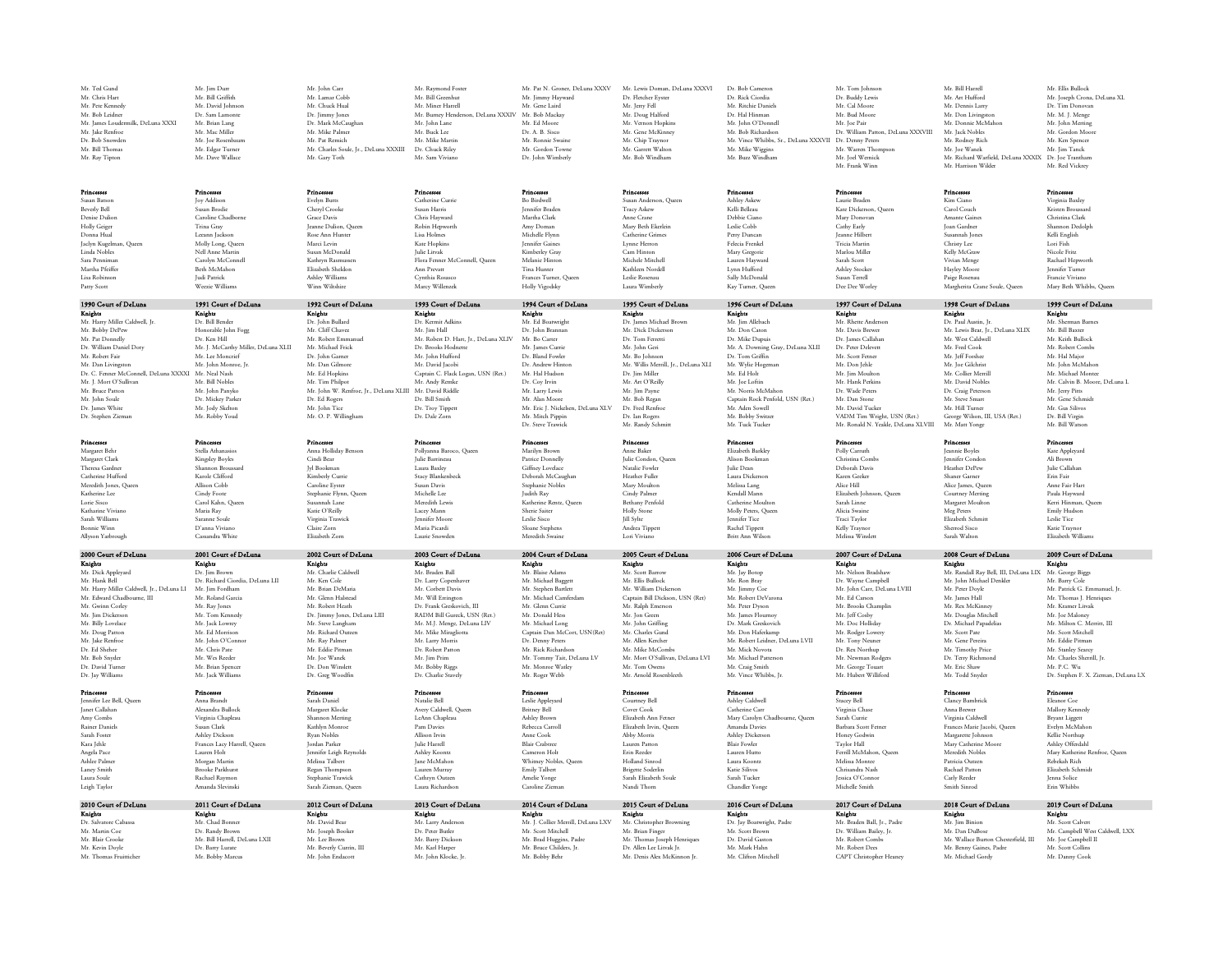| Mr. Ted Gund                                        | Mr. Jim Durr                                            | Mr. John Carr                                           | Mr. Raymond Foster                                         | Mr. Pat N. Groner. DeLuna XXXV                | Mr. Lewis Doman, DeLuna XXXVI                           | Dr. Bob Camero                                        | Mr. Tom Johnson                            | Mr. Bill Harrell                                       | Mr. Ellis Bullock                              |
|-----------------------------------------------------|---------------------------------------------------------|---------------------------------------------------------|------------------------------------------------------------|-----------------------------------------------|---------------------------------------------------------|-------------------------------------------------------|--------------------------------------------|--------------------------------------------------------|------------------------------------------------|
| Mr. Chris Hart<br>Mr. Pete Kennedy                  | Mr. Bill Griffith<br>Mr. David Johnson                  | Mr. Lamar Cobb<br>Mr. Chuck Hual                        | Mr. Bill Greenhu<br>Mr. Miner Harrell                      | Mr. Jimmy Hayward<br>Mr. Gene Laird           | Dr. Fletcher Eyster<br>Mr. Jerry Fell                   | Dr. Rick Ciordia<br>Mr. Ritchie Daniels               | Dr. Buddy Lewis<br>Mr. Cal Moore           | Mr. Art Hufford<br>Mr. Dennis Larry                    | Mr. Joseph Crona, DeLuna XL<br>Dr. Tim Donovan |
| Mr. Bob Leidner                                     | Dr. Sam Lamonte                                         | Dr. Jimmy Jones                                         | Mr. Burney Henderson, DeLuna XXXIV Mr. Bob Mackay          |                                               | Mr. Doug Halford                                        | Dr. Hal Hinman                                        | Mr. Bud Moon                               | Mr. Don Livinesto                                      | Mr M I Menoe                                   |
| Mr. James Loudermilk, DeLuna XXXI                   | Mr. Brian Lang                                          | Dr. Mark McCaughar                                      | Mr. John Lane                                              | Mr. Ed Moore                                  | Mr. Vernon Hopkins                                      | Mr. John O'Donnel                                     | Mr. Joe Pair                               | Mr. Donnie McMahon                                     | Mr. John Merting                               |
| Mr. Jake Renfroe                                    | Mr. Mac Miller                                          | Mr. Mike Palmer                                         | Mr. Buck Lee                                               | Dr. A. B. Sisco                               | Mr. Gene McKinney                                       | Mr. Bob Richardson                                    | Dr. William Patton, DeLuna XXXVIII         | Mr. Jack Nobles                                        | Mr. Gordon Moore                               |
| Dr. Bob Snowder                                     | Mr. Joe Rosenbaun                                       | Mr. Pat Remich                                          | Mr. Mike Martin                                            | Mr. Ronnie Swaine                             | Mr. Chip Traynor                                        | Mr. Vince Whibbs, Sr., DeLuna XXXVII Dr. Denny Peters |                                            | Mr. Rodney Rich                                        | Mr. Ken Spencer                                |
| Mr. Bill Thomas                                     | Mr. Edgar Turner                                        | Mr. Charles Soule, Jr., DeLuna XXXIII                   | Dr. Chuck Riley                                            | Mr. Gordon Towne                              | Mr. Garrett Walton                                      | Mr. Mike Wiggins                                      | Mr. Warren Thompson                        | Mr. Ine Wanek                                          | Mr Iim Tanck                                   |
| Mr. Ray Tipton                                      | Mr. Dave Wallace                                        | Mr. Gary Toth                                           | Mr. Sam Viviano                                            | Dr. John Wimberly                             | Mr. Bob Windham                                         | Mr. Buzz Windham                                      | Mr. Joel Wernick                           | Mr. Richard Warfield, DeLuna XXXIX Dr. Joe Trantham    |                                                |
|                                                     |                                                         |                                                         |                                                            |                                               |                                                         |                                                       | Mr. Frank Winn                             | Mr. Harrison Wilder                                    | Mr. Red Vickrey                                |
|                                                     |                                                         |                                                         |                                                            |                                               |                                                         |                                                       |                                            |                                                        |                                                |
| Princesses<br>Susan Barson                          | Princesses<br><b>Iov Addison</b>                        | Princesses<br>Evelyn Butts                              | Princesses<br>Catherine Currie                             | Princesses<br>Bo Birdwell                     | Princesses<br>Susan Anderson. Oueer                     | Princesses<br>Ashley Askew                            | Princesses<br>Laurie Braden                | Princesses<br>Kim Ciano                                | Princesses<br>Virginia Baxley                  |
| <b>Beverly Bell</b>                                 | Susan Brodie                                            | Cheryl Crook                                            | Susan Harris                                               | <b>Lennifer Brader</b>                        | <b>Tracy Askew</b>                                      | Kelli Belleau                                         | Kate Dickerson, Oueer                      | Carol Couch                                            | Kristen Broussan                               |
| Denise Dulior                                       | Caroline Chadborne                                      | Grace Davis                                             | Chris Hayward                                              | Martha Clark                                  | Anne Crane                                              | Debbie Ciano                                          | Mary Donovan                               | Amante Gaine                                           | Christina Clark                                |
| Holly Geiger                                        | Trina Gray                                              | Jeanne Dulion, Queen                                    | Robin Hepworth                                             | Amy Doman                                     | Mary Beth Ekerlein                                      | Leslie Cobb                                           | Cathy Early                                | Joan Gardner                                           | Shannon Dedolpl                                |
| Donna Hual                                          | Leeann Jackson                                          | Rose Ann Hunter                                         | Lisa Holmes                                                | Michelle Flynn                                | Catherine Grimes                                        | Perry Duncan                                          | <b>Iganne Hilber</b>                       | Susannah Iones                                         | Kelli English                                  |
| Jaclyn Kuselman, Oueer                              | Molly Long, Queen                                       | Marci Levin                                             | Kate Hopkins                                               | <b>Lennifer Gaines</b>                        | Lynne Herron                                            | Felecia Frenkel                                       | Tricia Marrin                              | Christy Lee                                            | Lori Fish                                      |
| Linda Nobles<br>Sara Penniman                       | Nell Anne Martin<br>Carolyn McConnel                    | Susan McDonald<br>Kathryn Rasmussen                     | <b>Julie Litvak</b><br>Flora Fenner McConnell, Queen       | Kimberley Gray<br>Melanie Hintor              | Cam Hinton<br>Michele Mitchell                          | Mary Gregorie<br>Lauren Havward                       | Marlou Miller<br>Sarah Scott               | Kelly McGraw<br>Vivian Menge                           | Nicole Fritz<br>Rachael Hepworth               |
| Martha Pfeiffer                                     | Beth McMahon                                            | Elizabeth Sheldon                                       | Ann Prevarr                                                | Tina Hunter                                   | Kathleen Nordell                                        | Lynn Hufford                                          | Ashley Stocker                             | Hayley Moore                                           | <b>Lennifer Turner</b>                         |
| Lisa Robinson                                       | Judi Patrick                                            | Ashley Williams                                         | Cynthia Rosasco                                            | Frances Turner, Oueer                         | Leslie Rosenau                                          | Sally McDonald                                        | Susan Terrell                              | Paige Rosenau                                          | Francie Viviano                                |
| Patty Scott                                         | Weezie William:                                         | Winn Wiltshire                                          | Marcy Willenzel                                            | Holly Vigodsky                                | Laura Wimberly                                          | Kay Turner, Queen                                     | Dee Dee Worle                              | Margherita Crane Soule, Queen                          | Mary Beth Whibbs, Oueer                        |
| 1990 Court of DeLuna                                | 1991 Court of DeLuna                                    | 1992 Court of DeLuna                                    | 1993 Court of DeLuna                                       | 1994 Court of DeLuna                          | 1995 Court of DeLuna                                    | 1996 Court of DeLuna                                  | 1997 Court of DeLuna                       | 1998 Court of DeLuna                                   | 1999 Court of DeLuna                           |
| Knights                                             | Knights                                                 | Knights<br>Dr. John Bullard                             | Knights                                                    | Knights                                       | Knights                                                 | Knights<br>Mr. Jim Allebach                           | Knights<br>Mr. Rhette Anderson             | Knights<br>Dr. Paul Austin, Jr.                        | Knights                                        |
| Mr. Harry Miller Caldwell, Ir.                      | Dr. Bill Bender                                         |                                                         | Dr. Kermit Adkins                                          | Mr. Ed Boatwright                             | Dr. James Michael Brown                                 |                                                       |                                            |                                                        | Mr. Sherman Barnes                             |
| Mr. Bobby DePew                                     | Honorable John Fogg                                     | Mr. Cliff Chavez                                        | Mr. Iim Hall                                               | Dr. John Brannan                              | Mr. Dick Dickerson                                      | Mr. Don Caton                                         | Mr. Davis Brewe                            | Mr. Lewis Bear, Ir., DeLuna XLIX                       | Mr. Bill Baxter                                |
| Mr. Pat Donnelly                                    | Dr. Ken Hill                                            | Mr. Robert Emmanue                                      | Mr. Robert D. Hart, Jr., DeLuna XLIV                       | Mr. Bo Carter                                 | Dr. Tom Ferretti                                        | Dr. Mike Dupuis                                       | Dr. James Callahar                         | Mr. West Caldwell                                      | Mr. Keith Bullock                              |
| Dr. William Daniel Doty<br>Mr. Robert Fair          | Mr. I. McCarthy Miller, DeLuna XLII<br>Mr. Lee Moncrief | Mr. Michael Frick<br>Dr. John Garner                    | Dr. Brooks Hodnette<br>Mr. John Hufford                    | Mr. James Currie<br>Dr. Bland Fowler          | Mr. John Geri<br>Mr. Bo Johnson                         | Mr. A. Downing Gray, DeLuna XLII<br>Dr. Tom Griffin   | Dr. Peter Delevert<br>Mr. Scott Ferner     | Mr. Fred Cook<br>Mr. Jeff Forsher                      | Mr. Robert Combs<br>Mr Hal Major               |
| Mr. Dan Livingston                                  | Mr. John Monroe, Jr.                                    | Mr. Dan Gilmore                                         | Mr. David Jacobi                                           | Dr. Andrew Hintor                             | Mr. Willis Merrill, Jr., DeLuna XLI                     | Mr. Wylie Hogeman                                     | Mr. Don Jehle                              | Mr. Joe Gilchrist                                      | Mr. John McMahor                               |
| Dr. C. Fenner McConnell, DeLuna XXXXI Mr. Neal Nash |                                                         | Mr. Ed Hopkins                                          | Captain C. Flack Logan, USN (Ret.)                         | Mr. Hal Hudson                                | Dr. Jim Miller                                          | Mr. Ed Holt                                           | Mr. Jim Moulton                            | Mr. Collier Merrill                                    | Mr. Michael Montee                             |
| Mr. J. Mort O'Sullivan                              | Mr. Bill Noble                                          | Mr. Tim Philpot                                         | Mr. Andy Remke                                             | Dr. Cov Irvin                                 | Mr. Art O'Reilly                                        | Mr. Joe Loftin                                        | Mr. Hank Perkins                           | Mr. David Nobles                                       | Mr. Calvin B. Moore, DeLuna L                  |
| Mr. Bruce Patton                                    | Mr. John Panyko                                         | Mr. John W. Renfroe, Jr., DeLuna XLIII Mr. David Riddle |                                                            | Mr. Larry Lewis                               | Mr. Jim Payne                                           | Mr. Norris McMahor                                    | Dr Wade Peters                             | Dr. Craig Peterson                                     | Mr. Jerry Pirrs                                |
| Mr. John Soule                                      | Dr. Mickey Parker                                       | Dr. Ed Rogers                                           | Dr. Bill Smirh                                             | Mr. Alan Moore                                | Mr. Bob Regan                                           | Captain Rock Penfold, USN (Ret.)                      | Mr. Dan Stone                              | Mr. Steve Smart                                        | Mr. Gene Schmid                                |
| Dr. James White                                     | Mr. Jody Skelton                                        | Mr. John Tice                                           | Dr. Troy Tippett                                           | Mr. Eric J. Nickelsen, DeLuna XLV             | Dr. Fred Renfroe                                        | Mr. Aden Sowell                                       | Mr. David Tucker                           | Mr. Hill Turner                                        | Mr. Gus Silivos                                |
| Dr. Stephen Zieman                                  | Mr. Robby Youd                                          | Mr. O. P. Willingham                                    | Dr. Dale Zom                                               | Mr Mirch Pinnin                               | Dr. Jan Rogers                                          | Mr. Bobby Switzer                                     | VADM Tim Wright, USN (Ret.)                | George Wilson, III, USA (Ret.)                         | Dr. Bill Viroin                                |
|                                                     |                                                         |                                                         |                                                            | Dr. Steve Trawick                             | Mr. Randy Schmit                                        | Mr. Tuck Tucker                                       | Mr. Ronald N. Yeakle, DeLuna XLVIII        | Mr. Matt Yongo                                         | Mr. Bill Warson                                |
| Princesse                                           | <b>Princesses</b>                                       | <b>Princesses</b>                                       | <b>Princesses</b>                                          | Princesses                                    | Princesse                                               | Princesse                                             | <b>Princesses</b>                          | Princesses                                             | Princesses                                     |
| Margaret Behr                                       | Stella Athanasio                                        | Anna Holliday Bensor                                    | Pollvanna Baroco, Oueer                                    | Marilyn Brown                                 | Anne Baker                                              | Elizabeth Barkler                                     | Polly Carruth                              | <b>Leannie Boyles</b>                                  | Kate Appleyard                                 |
| Margaret Clark                                      | Kingsley Boyles                                         | Cindi Bear                                              | <b>Iulie Barrineau</b>                                     | Patrice Donnelly                              | Julie Condon, Queen                                     | Alison Bookmar                                        | Christina Comb                             | Jennifer Condon                                        | Ali Brown                                      |
| Theresa Gardner                                     | Shannon Broussard                                       | Jyl Bookman                                             | Laura Baxley                                               | Giffney Lovelace                              | Natalie Fowler                                          | Julie Dean                                            | Deborah Davis                              | Heather DePew                                          | <b>Iulie Callabar</b>                          |
|                                                     |                                                         |                                                         |                                                            |                                               |                                                         |                                                       |                                            |                                                        |                                                |
| Catherine Hufford                                   | Karole Clifford                                         | Kimberly Currie                                         | Stacy Blankenbeck                                          | Deborah McCaughan                             | Heather Fuller                                          | Laura Dickersor                                       | Karen Geeker                               | Shaner Garner                                          | Erin Fair                                      |
| Meredith Jones, Queen                               | Allison Cobb                                            | Caroline Evster                                         | Susan Davis                                                | Stephanie Nobles                              | Mary Moulton                                            | Melissa Lang                                          | Alice Hill                                 | Alice James, Oueer                                     | Anne Fair Hart                                 |
| Katherine Lee                                       | Cindy Foote                                             | Stephanie Flynn, Queen                                  | Michelle Lee                                               | Judith Ray                                    | Cindy Palmer                                            | Kendall Mann                                          | Elizabeth Johnson, Queer                   | Courtney Merting                                       | Paula Hayward                                  |
| Lorie Sisco<br>Katharine Viviano                    | Carol Kahn, Queen<br>Maria Rav                          | Susannah Lane<br>Katie O'Reilly                         | Meredith Lewis<br>Lacey Mann                               | Katherine Rentz, Queen<br>Sherie Sairer       | Bethany Penfold<br>Holly Stone                          | Catherine Moulton<br>Molly Peters. Oueer              | Sarah Linne<br>Alicia Swaine               | Margaret Moulton                                       | Kerri Hinman, Oueer<br>Emily Hudson            |
| Sarah Williams                                      | Saranne Soule                                           |                                                         | <b>Jennifer Moore</b>                                      | Leslie Sisco                                  | <b>Till Sylte</b>                                       | <b>Iennifer Tice</b>                                  | Traci Taylor                               | Meg Peters<br>Elizabeth Schmit                         | Leslie Tice                                    |
| Bonnie Winn                                         | D'anna Viviano                                          | Virginia Trawick<br>Claire Zorn                         | Maria Picardi                                              | Sloane Stephens                               | Andrea Tippett                                          | Rachel Tippett                                        | Kelly Traynor                              | Sherrod Sisco                                          | Katie Traynor                                  |
| Allyson Yarbrough                                   | Cassandra White                                         | Elizabeth Zorn                                          | Laurie Snowden                                             | Meredith Swaine                               | Lori Viviano                                            | Britt Ann Wilson                                      | Melissa Winslett                           | Sarah Walton                                           | Elizabeth Williams                             |
|                                                     |                                                         |                                                         |                                                            |                                               |                                                         |                                                       |                                            |                                                        |                                                |
| 2000 Court of DeLuna<br>Knights                     | 2001 Court of DeLuna<br>Knights                         | 2002 Court of DeLuna<br>Knights                         | 2003 Court of DeLuna<br>Knights                            | 2004 Court of DeLuna<br>Knights               | 2005 Court of DeLuna<br>Knights                         | 2006 Court of DeLuna<br>Knights                       | 2007 Court of DeLuna<br>Knights            | 2008 Court of DeLuna<br>Knights                        | 2009 Court of DeLuna<br>Knights                |
| Mr. Dick Appleyard                                  | Dr. Jim Browr                                           | Mr. Charlie Caldwel                                     | Mr. Braden Ball                                            | Mr. Blaise Adam                               | Mr. Scott Barro                                         | Mr. Jay Botop                                         | Mr Nelson Bradsha                          | Mr. Randall Ray Bell, III, DeLuna LIX Mr. George Biggs |                                                |
| Mr. Hank Bell                                       | Dr. Richard Ciordia, DeLuna LI                          | Mr. Ken Cole                                            | Dr. Larry Copenhaver                                       | Mr. Michael Baggett                           | Mr. Ellis Bullock                                       | Mr. Ron Bray                                          | Dr. Wayne Campbell                         | Mr. John Michael Denkler                               | Mr. Barry Cole                                 |
| Mr. Harry Miller Caldwell, Ir., DeLuna LI           | Mr. Jim Fordham                                         | Mr. Brian DeMaria                                       | Mr. Corbett Davis                                          | Mr. Stephen Bartlett                          | Mr. William Dickerson                                   | Mr. Jimmy Cor                                         | Mr. John Carr, DeLuna LVIII                | Mr. Peter Dovle                                        | Mr. Patrick G. Emmanuel. Ir.                   |
| Mr. Edward Chadhourne. III                          | Mr. Roland Garcia                                       | Mr. Glenn Halstead                                      | Mr. Will Errineton                                         | Mr. Michael Camferdan                         | Cantain Bill Dickson, USN (Ret)                         | Mr. Robert DeVarons                                   | Mr. Ed Carson                              | Mr James Hall                                          | Mr. Thomas I. Henriques                        |
| Mr. Gwinn Corles                                    | Mr. Ray Jones                                           | Mr. Robert Heath                                        | Dr. Frank Greskovich, III                                  | Mr. Glenn Currie                              | Mr. Ralph Emerson                                       | Mr. Peter Dyson                                       | Mr. Brooks Champlin<br>Mr. Jeff Cosby      | Mr. Rex McKinney                                       | Mr. Kramer Litvak<br>Mr. Joe Maloney           |
| Mr. Jim Dickerson<br>Mr. Billy Loyelace             | Mr. Tom Kennedy<br>Mr. Jack Lowrey                      | Dr. Jimmy Jones, DeLuna LIII<br>Mr. Steve Langham       | RADM Bill Gureck, USN (Ret.)<br>Mr. M.J. Menge, DeLuna LIV | Mr. Donald Hess<br>Mr. Michael Long           | Mr. Jon Green<br>Mr. John Griffins                      | Mr. James Flournoy<br>Dr. Mark Greskovich             | Mr. Doc Holliday                           | Mr. Douglas Mitchell<br>Dr. Michael Papadelias         | Mr. Milton C. Merritt. III                     |
| Mr. Doug Patton                                     | Mr. Ed Morrison                                         | Mr. Richard Outzen                                      | Mr. Mike Miragliotta                                       | Captain Dan McCort, USN(Ret)                  | Mr. Charles Gund                                        | Mr. Don Haferkamn                                     | Mr. Rodger Lowery                          | Mr. Scott Pate                                         | Mr. Scott Mitchell                             |
| Mr. Jake Renfroe                                    | Mr. John O'Connor                                       | Mr. Ray Palmer                                          | Mr. Larry Morris                                           | Dr. Denny Peters                              | Mr. Allen Kercher                                       | Mr. Robert Leidner, DeLuna LVII                       | Mr. Tony Neuner                            | Mr. Gene Pereira                                       | Mr. Eddie Pirman                               |
| Dr. Ed Shehee                                       | Mr. Chris Pate                                          | Mr. Eddie Pitman                                        | Dr. Robert Patton                                          | Mr. Rick Richardson                           | Mr. Mike McCombs                                        | Mr. Mick Novota                                       | Dr. Rex Northun                            | Mr. Timothy Price                                      | Mr. Stanley Searcy                             |
| Mr. Bob Snyder                                      | Mr. Wes Reeder                                          | Mr. Ioe Wanek                                           | Mr Iim Prim                                                | Mr. Tommy Tait, DeLuna LV                     | Mr. Mort O'Sullivan, DeLuna LVI                         | Mr. Michael Patterson                                 | Mr. Newman Rodoen                          | Dr. Terry Richmond                                     | Mr. Charles Sherrill. In                       |
| Dr. David Turner<br>Dr. Iav Williams                | Mr. Brian Spencer<br>Mr. Jack Williams                  | Dr. Don Winslet                                         | Mr. Bobby Riggs<br>Dr. Charlie Stavely                     | Mr. Monroe Watley                             | Mr. Tom Owens<br>Mr. Arnold Rosenbleet                  | Mr. Craig Smith<br>Mr. Vince Whibbs, In               | Mr. George Touart                          | Mr. Eric Shaw<br>Mr. Todd Snyder                       | Mr P C W <sub>0</sub>                          |
|                                                     |                                                         | Dr. Greg Woodfin                                        |                                                            | Mr. Roger Webb                                |                                                         |                                                       | Mr. Hubert Williford                       |                                                        | Dr. Stephen F. X. Zieman, DeLuna LX            |
| Princesses                                          | Princesses                                              | Princesses                                              | Princesses                                                 | Princesses                                    | Princesses                                              | Princesses                                            | Princesses                                 | Princesses                                             | Princesses                                     |
| Jennifer Lee Bell, Queen                            | Anna Brandt                                             | Sarah Daniel                                            | Natalie Bell                                               | Leslie Appleyard                              | Courtney Bell                                           | Ashley Caldwell                                       | Stacey Bell                                | Clancy Bambrick                                        | Eleanor Coe                                    |
| <b>Taner Callahan</b><br>Amy Combs                  | Alexandra Bullock<br>Virginia Chapleau                  | Margaret Klocke<br>Shannon Merting                      | Avery Caldwell, Queen<br>LeAnn Chapleau                    | <b>Britney Bell</b><br>Ashley Brown           | Cover Cook<br>Elizabeth Ann Fetne                       | Catherine Carr<br>Mary Carolyn Chadbourne, Queen      | Virginia Chase<br>Sarah Currie             | Anna Brewer<br>Virginia Caldwell                       | Mallory Kennedy<br><b>Brvant Liggett</b>       |
| <b>Rainer Daniels</b>                               | Susan Clark                                             | Kathlyn Monroe                                          | Pam Davies                                                 | Rebecca Carroll                               | Elizabeth Irvin, Oueer                                  | Amanda Davies                                         | Barbara Scott Ferne                        | Frances Marie Jacobi, Queen                            | Evelyn McMahon                                 |
| Sarah Foster                                        | Ashley Dickson                                          | <b>Ryan Nobles</b>                                      | Allison Irvin                                              | Anne Cook                                     | Abby Morris                                             | Ashley Dickerson                                      | Honey Godwin                               | Margarette Johnson                                     | Kellie Northup                                 |
| Kara Jehle                                          | Frances Lacy Harrell, Queen                             | <b>Jordan Parker</b>                                    | Julie Harrell                                              | <b>Blair Crabtree</b>                         | Lauren Patton                                           | Blair Fowler                                          | Taylor Hall                                | Mary Catherine Moore                                   | Ashley Offerdahl                               |
| Angela Pace                                         | Lauren Holt                                             | <b>Jennifer Leigh Reynolds</b>                          | Ashley Koontz                                              | Cameron Holt                                  | Erin Reeder                                             | Lauren Hutto                                          | Ferrill McMahon, Oueen                     | Meredith Nobles                                        | Mary Katherine Renfroe, Oueer                  |
| Ashlee Palmer                                       | Morgan Martin                                           | Melissa Talbert                                         | <b>Jane McMahor</b>                                        | Whitney Nobles, Oueer                         | Holland Sinrod                                          | Laura Koontz                                          | Melissa Montee                             | Patricia Outzen                                        | Rebekah Rich                                   |
| Laney Smith                                         | <b>Brooke Parkhurst</b>                                 | Regan Thompson                                          | Lauren Murray                                              | Emily Talbert                                 | <b>Brigette Soderlin</b>                                | Katie Silivos                                         | Chrisandra Nash                            | Rachael Patton                                         | Elizabeth Schmid                               |
| Laura Soule<br>Leigh Taylor                         | Rachael Raymon<br>Amanda Slevinski                      | Stephanie Trawick<br>Sarah Zieman, Oueen                | Cathryn Outzen<br>Laura Richardson                         | Amelie Yonge<br>Caroline Zieman               | Sarah Elizabeth Soule<br>Nandi Thorn                    | Sarah Tucker<br>Chandler Yones                        | Jessica O'Connor<br>Michelle Smith         | Carly Reeder<br>Smith Sinmd                            | Jenna Solice<br>Erin Whibbs                    |
|                                                     |                                                         |                                                         |                                                            |                                               |                                                         |                                                       |                                            |                                                        |                                                |
| 2010 Court of DeLuna                                | 2011 Court of DeLuna                                    | 2012 Court of DeLung                                    | 2013 Court of DeLuna                                       | 2014 Court of DeLuna                          | 2015 Court of DeLuna                                    | 2016 Court of DeLuna                                  | 2017 Court of DeLuna                       | 2018 Court of DeLung                                   | 2019 Court of DeLuna                           |
| Knights                                             | Knights<br>Mr. Chad Bonner                              | Knights<br>Mr. David Bea                                | Knights                                                    | Knights<br>Mr. J. Collier Merrill, DeLuna LXV | Knights                                                 | Knights                                               | Knights<br>Mr. Braden Ball, Jr., Padre     | Knights<br>Mr. Jim Binior                              | Knights<br>Mr. Scott Calvert                   |
| Dr. Salvatore Cabassa<br>Mr. Martin Coe             | Dr. Randy Brown                                         | Mr. Joseph Booker                                       | Mr. Larry Anderson<br>Dr. Peter Butler                     | Mr. Scott Mitchell                            | Mr. Christopher Browning<br>Mr. Brian Finger            | Dr. Jay Boatwright, Padr<br>Mr. Scott Brown           | Dr. William Bailey, Ir.                    | Mr. Dan DuBose                                         | Mr. Campbell West Caldwell, LXX                |
| Mr. Blair Crooke                                    | Mr. Bill Harrell, DeLuna LXII                           | Mr. Lee Brown                                           | Mr. Barry Dickson                                          | Mr. Brad Huggins, Padre                       | Mr. Thomas Joseph Henriques                             | Dr. David Gaston                                      | Mr. Robert Comb                            | Mr. Wallace Burton Chesterfield, III                   | Mr. Joe Campbell II                            |
| Mr. Kevin Doyle<br>Mr. Thomas Fruitticher           | Dr. Barry Lurate<br>Mr. Bobby Marcus                    | Mr. Beverly Currin, III<br>Mr. John Endacott            | Mr. Karl Harper<br>Mr. John Klocke, Jr.                    | Mr. Bruce Childers, Jr.<br>Mr. Bobby Behr     | Dr. Allen Lee Litvak Jr.<br>Mr. Denis Alex McKinnon Jr. | Mr. Mark Hahn<br>Mr. Clifron Mitchell                 | Mr. Robert Dees<br>CAPT Christopher Heaney | Mr. Benny Gaines, Padre<br>Mr. Michael Gordy           | Mr. Scott Collins<br>Mr. Danny Cook            |